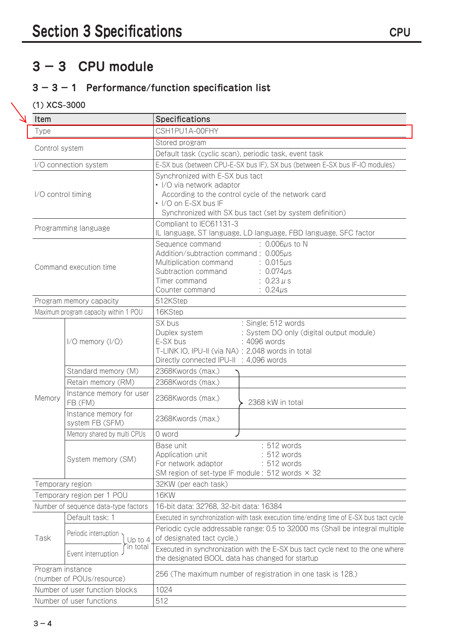# **3 − 3 CPU module**

## **3 − 3 − 1 Performance/function specification list**

#### (1) XCS-3000

| Item                                          |                                        | Specifications                                                                                                                                                                                                                                   |  |
|-----------------------------------------------|----------------------------------------|--------------------------------------------------------------------------------------------------------------------------------------------------------------------------------------------------------------------------------------------------|--|
| Type                                          |                                        | CSH1PU1A-00FHY                                                                                                                                                                                                                                   |  |
|                                               |                                        | Stored program                                                                                                                                                                                                                                   |  |
| Control system                                |                                        | Default task (cyclic scan), periodic task, event task                                                                                                                                                                                            |  |
|                                               | I/O connection system                  | E-SX bus (between CPU-E-SX bus IF), SX bus (between E-SX bus IF-IO modules)                                                                                                                                                                      |  |
| I/O control timing                            |                                        | Synchronized with E-SX bus tact<br>• I/O via network adaptor<br>According to the control cycle of the network card<br>• I/O on E-SX bus IF<br>Synchronized with SX bus tact (set by system definition)                                           |  |
|                                               | Programming language                   | Compliant to IEC61131-3<br>IL language, ST language, LD language, FBD language, SFC factor                                                                                                                                                       |  |
| Command execution time                        |                                        | Sequence command<br>$: 0.006 \mu s$ to N<br>Addition/subtraction command: 0.005µs<br>Multiplication command<br>$: 0.015 \mu s$<br>Subtraction command<br>$: 0.074 \mu s$<br>Timer command<br>: $0.23 \mu s$<br>Counter command<br>: $0.24 \mu s$ |  |
|                                               | Program memory capacity                | 512KStep                                                                                                                                                                                                                                         |  |
|                                               | Maximum program capacity within 1 POU  | 16KStep                                                                                                                                                                                                                                          |  |
|                                               | $1/O$ memory $(1/O)$                   | SX bus<br>: Single; 512 words<br>: System DO only (digital output module)<br>Duplex system<br>E-SX bus<br>: 4096 words<br>T-LINK IO, IPU-II (via NA) : 2,048 words in total<br>Directly connected IPU-II : 4,096 words                           |  |
|                                               | Standard memory (M)                    | 2368Kwords (max.)                                                                                                                                                                                                                                |  |
|                                               | Retain memory (RM)                     | 2368Kwords (max.)                                                                                                                                                                                                                                |  |
| Memory                                        | Instance memory for user<br>FB (FM)    | 2368Kwords (max.)<br>2368 kW in total                                                                                                                                                                                                            |  |
|                                               | Instance memory for<br>system FB (SFM) | 2368Kwords (max.)                                                                                                                                                                                                                                |  |
|                                               | Memory shared by multi CPUs            | 0 word                                                                                                                                                                                                                                           |  |
|                                               | System memory (SM)                     | : 512 words<br>Base unit<br>Application unit<br>: 512 words<br>For network adaptor<br>: 512 words<br>SM region of set-type IF module: 512 words $\times$ 32                                                                                      |  |
|                                               | Temporary region                       | 32KW (per each task)                                                                                                                                                                                                                             |  |
|                                               | Temporary region per 1 POU             | <b>16KW</b>                                                                                                                                                                                                                                      |  |
| Number of sequence data-type factors          |                                        | 16-bit data: 32768, 32-bit data: 16384                                                                                                                                                                                                           |  |
|                                               | Default task: 1                        | Executed in synchronization with task execution time/ending time of E-SX bus tact cycle                                                                                                                                                          |  |
| Task                                          | Periodic interruption<br>Up to 4       | Periodic cycle addressable range: 0.5 to 32000 ms (Shall be integral multiple<br>of designated tact cycle.)                                                                                                                                      |  |
|                                               | in total<br>Event interruption         | Executed in synchronization with the E-SX bus tact cycle next to the one where<br>the designated BOOL data has changed for startup                                                                                                               |  |
| Program instance<br>(number of POUs/resource) |                                        | 256 (The maximum number of registration in one task is 128.)                                                                                                                                                                                     |  |
|                                               | Number of user function blocks         | 1024                                                                                                                                                                                                                                             |  |
| Number of user functions                      |                                        | 512                                                                                                                                                                                                                                              |  |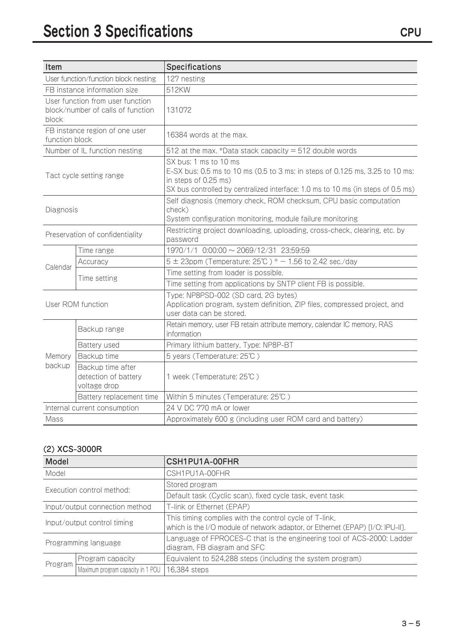| Item                                 |                                                                       | <b>Specifications</b>                                                                                                                                                                                             |  |
|--------------------------------------|-----------------------------------------------------------------------|-------------------------------------------------------------------------------------------------------------------------------------------------------------------------------------------------------------------|--|
| User function/function block nesting |                                                                       | 127 nesting                                                                                                                                                                                                       |  |
| FB instance information size         |                                                                       | 512KW                                                                                                                                                                                                             |  |
| block                                | User function from user function<br>block/number of calls of function | 131072                                                                                                                                                                                                            |  |
| function block                       | FB instance region of one user                                        | 16384 words at the max.                                                                                                                                                                                           |  |
|                                      | Number of IL function nesting                                         | 512 at the max. *Data stack capacity $=$ 512 double words                                                                                                                                                         |  |
|                                      | Tact cycle setting range                                              | SX bus: 1 ms to 10 ms<br>E-SX bus: 0.5 ms to 10 ms (0.5 to 3 ms: in steps of 0.125 ms, 3.25 to 10 ms:<br>in steps of 0.25 ms)<br>SX bus controlled by centralized interface: 1.0 ms to 10 ms (in steps of 0.5 ms) |  |
| Diagnosis                            |                                                                       | Self diagnosis (memory check, ROM checksum, CPU basic computation<br>check)<br>System configuration monitoring, module failure monitoring                                                                         |  |
|                                      | Preservation of confidentiality                                       | Restricting project downloading, uploading, cross-check, clearing, etc. by<br>password                                                                                                                            |  |
|                                      | Time range                                                            | 1970/1/1 0:00:00 ~ 2069/12/31 23:59:59                                                                                                                                                                            |  |
| Calendar                             | Accuracy                                                              | $5 \pm 23$ ppm (Temperature: 25°C) * - 1.56 to 2.42 sec./day                                                                                                                                                      |  |
|                                      | Time setting                                                          | Time setting from loader is possible.                                                                                                                                                                             |  |
|                                      |                                                                       | Time setting from applications by SNTP client FB is possible.                                                                                                                                                     |  |
| User ROM function                    |                                                                       | Type: NP8PSD-002 (SD card, 2G bytes)<br>Application program, system definition, ZIP files, compressed project, and<br>user data can be stored.                                                                    |  |
|                                      | Backup range                                                          | Retain memory, user FB retain attribute memory, calendar IC memory, RAS<br>information                                                                                                                            |  |
|                                      | Battery used                                                          | Primary lithium battery, Type: NP8P-BT                                                                                                                                                                            |  |
| Memory                               | Backup time                                                           | 5 years (Temperature: 25°C)                                                                                                                                                                                       |  |
| backup                               | Backup time after<br>detection of battery<br>voltage drop             | 1 week (Temperature: 25℃)                                                                                                                                                                                         |  |
|                                      | Battery replacement time                                              | Within 5 minutes (Temperature: 25°C)                                                                                                                                                                              |  |
| Internal current consumption         |                                                                       | 24 V DC 770 mA or lower                                                                                                                                                                                           |  |
| Mass                                 |                                                                       | Approximately 600 g (including user ROM card and battery)                                                                                                                                                         |  |

### (2) XCS-3000R

| Model                          |                                   | CSH1PU1A-00FHR                                                                                                                          |  |
|--------------------------------|-----------------------------------|-----------------------------------------------------------------------------------------------------------------------------------------|--|
| Model                          |                                   | CSH1PU1A-00FHR                                                                                                                          |  |
| Execution control method:      |                                   | Stored program                                                                                                                          |  |
|                                |                                   | Default task (Cyclic scan), fixed cycle task, event task                                                                                |  |
| Input/output connection method |                                   | T-link or Ethernet (EPAP)                                                                                                               |  |
| Input/output control timing    |                                   | This timing complies with the control cycle of T-link,<br>which is the I/O module of network adaptor, or Ethernet (EPAP) [I/O: IPU-II]. |  |
| Programming language           |                                   | Language of FPROCES-C that is the engineering tool of ACS-2000: Ladder<br>diagram, FB diagram and SFC                                   |  |
| Program                        | Program capacity                  | Equivalent to 524,288 steps (including the system program)                                                                              |  |
|                                | Maximum program capacity in 1 POU | 16,384 steps                                                                                                                            |  |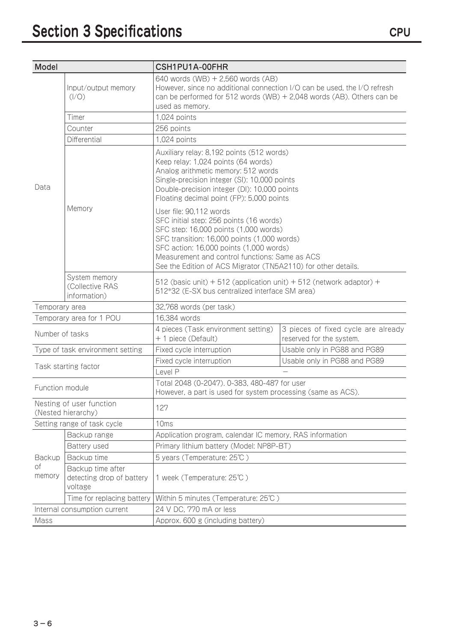| <b>Model</b>                                   |                                                           | CSH1PU1A-00FHR                                                                                                                                                                                                                                                                                                           |                                                                 |  |
|------------------------------------------------|-----------------------------------------------------------|--------------------------------------------------------------------------------------------------------------------------------------------------------------------------------------------------------------------------------------------------------------------------------------------------------------------------|-----------------------------------------------------------------|--|
|                                                | Input/output memory<br>$( /O\rangle)$                     | 640 words (WB) + 2,560 words (AB)<br>However, since no additional connection I/O can be used, the I/O refresh<br>can be performed for 512 words (WB) + 2,048 words (AB). Others can be<br>used as memory.                                                                                                                |                                                                 |  |
|                                                | Timer                                                     | 1,024 points                                                                                                                                                                                                                                                                                                             |                                                                 |  |
|                                                | Counter                                                   | 256 points                                                                                                                                                                                                                                                                                                               |                                                                 |  |
|                                                | Differential                                              | 1,024 points                                                                                                                                                                                                                                                                                                             |                                                                 |  |
| Data                                           |                                                           | Auxiliary relay: 8,192 points (512 words)<br>Keep relay: 1,024 points (64 words)<br>Analog arithmetic memory: 512 words<br>Single-precision integer (SI): 10,000 points<br>Double-precision integer (DI): 10,000 points<br>Floating decimal point (FP): 5,000 points                                                     |                                                                 |  |
|                                                | Memory                                                    | User file: 90,112 words<br>SFC initial step: 256 points (16 words)<br>SFC step: 16,000 points (1,000 words)<br>SFC transition: 16,000 points (1,000 words)<br>SFC action: 16,000 points (1,000 words)<br>Measurement and control functions: Same as ACS<br>See the Edition of ACS Migrator (TN5A2110) for other details. |                                                                 |  |
|                                                | System memory<br>(Collective RAS<br>information)          | 512 (basic unit) + 512 (application unit) + 512 (network adaptor) +<br>512*32 (E-SX bus centralized interface SM area)                                                                                                                                                                                                   |                                                                 |  |
| Temporary area                                 |                                                           | 32,768 words (per task)                                                                                                                                                                                                                                                                                                  |                                                                 |  |
| Temporary area for 1 POU                       |                                                           | 16,384 words                                                                                                                                                                                                                                                                                                             |                                                                 |  |
| Number of tasks                                |                                                           | 4 pieces (Task environment setting)<br>+ 1 piece (Default)                                                                                                                                                                                                                                                               | 3 pieces of fixed cycle are already<br>reserved for the system. |  |
|                                                | Type of task environment setting                          | Fixed cycle interruption                                                                                                                                                                                                                                                                                                 | Usable only in PG88 and PG89                                    |  |
|                                                | Task starting factor                                      | Fixed cycle interruption                                                                                                                                                                                                                                                                                                 | Usable only in PG88 and PG89                                    |  |
|                                                |                                                           | Level P                                                                                                                                                                                                                                                                                                                  |                                                                 |  |
| Function module                                |                                                           | Total 2048 (0-2047). 0-383, 480-487 for user<br>However, a part is used for system processing (same as ACS).                                                                                                                                                                                                             |                                                                 |  |
| Nesting of user function<br>(Nested hierarchy) |                                                           | 127                                                                                                                                                                                                                                                                                                                      |                                                                 |  |
| Setting range of task cycle                    |                                                           | 10ms                                                                                                                                                                                                                                                                                                                     |                                                                 |  |
|                                                | Backup range                                              | Application program, calendar IC memory, RAS information                                                                                                                                                                                                                                                                 |                                                                 |  |
|                                                | Battery used                                              | Primary lithium battery (Model: NP8P-BT)                                                                                                                                                                                                                                                                                 |                                                                 |  |
| Backup                                         | Backup time                                               | 5 years (Temperature: 25°C)                                                                                                                                                                                                                                                                                              |                                                                 |  |
| Оf<br>memory                                   | Backup time after<br>detecting drop of battery<br>voltage | 1 week (Temperature: 25℃)                                                                                                                                                                                                                                                                                                |                                                                 |  |
|                                                | Time for replacing battery                                | Within 5 minutes (Temperature: 25°C)                                                                                                                                                                                                                                                                                     |                                                                 |  |
| Internal consumption current                   |                                                           | 24 V DC, 770 mA or less                                                                                                                                                                                                                                                                                                  |                                                                 |  |
| Mass                                           |                                                           | Approx. 600 g (including battery)                                                                                                                                                                                                                                                                                        |                                                                 |  |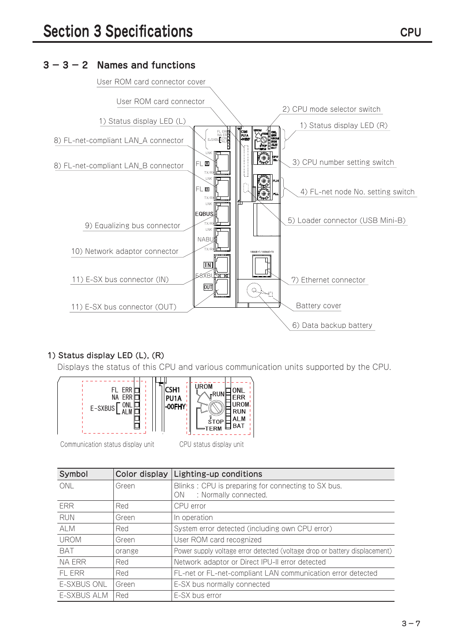### **3 − 3 − 2 Names and functions**



#### 1) Status display LED (L), (R)

Displays the status of this CPU and various communication units supported by the CPU.



Communication status display unit CPU status display unit

| Symbol             | Color display | Lighting-up conditions                                                     |
|--------------------|---------------|----------------------------------------------------------------------------|
| ONL                | Green         | Blinks: CPU is preparing for connecting to SX bus.                         |
|                    |               | : Normally connected.<br>0N                                                |
| ERR                | Red           | CPU error                                                                  |
| <b>RUN</b>         | Green         | In operation                                                               |
| ALM                | Red           | System error detected (including own CPU error)                            |
| <b>UROM</b>        | Green         | User ROM card recognized                                                   |
| <b>BAT</b>         | orange        | Power supply voltage error detected (voltage drop or battery displacement) |
| NA ERR             | Red           | Network adaptor or Direct IPU-II error detected                            |
| FL ERR             | Red           | FL-net or FL-net-compliant LAN communication error detected                |
| <b>E-SXBUS ONL</b> | Green         | E-SX bus normally connected                                                |
| E-SXBUS ALM        | Red           | E-SX bus error                                                             |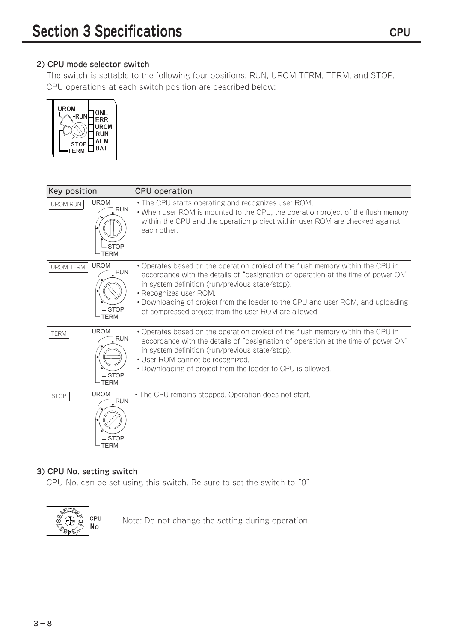#### 2) CPU mode selector switch

The switch is settable to the following four positions: RUN, UROM TERM, TERM, and STOP. CPU operations at each switch position are described below:



| Key position     |                                                                       | <b>CPU</b> operation                                                                                                                                                                                                                                                                                                                                                                         |
|------------------|-----------------------------------------------------------------------|----------------------------------------------------------------------------------------------------------------------------------------------------------------------------------------------------------------------------------------------------------------------------------------------------------------------------------------------------------------------------------------------|
| <b>UROM RUN</b>  | <b>UROM</b><br>$\sqrt{\phantom{a}}$ RUN<br>- STOP<br><b>TERM</b>      | • The CPU starts operating and recognizes user ROM.<br>• When user ROM is mounted to the CPU, the operation project of the flush memory<br>within the CPU and the operation project within user ROM are checked against<br>each other.                                                                                                                                                       |
| <b>UROM TERM</b> | <b>UROM</b><br>$\sqrt{\phantom{a}}$ RUN<br><b>STOP</b><br><b>TERM</b> | • Operates based on the operation project of the flush memory within the CPU in<br>accordance with the details of "designation of operation at the time of power ON"<br>in system definition (run/previous state/stop).<br>• Recognizes user ROM.<br>• Downloading of project from the loader to the CPU and user ROM, and uploading<br>of compressed project from the user ROM are allowed. |
| <b>TERM</b>      | <b>UROM</b><br>$\sqrt{\ }$ RUN<br>- STOP<br><b>TERM</b>               | • Operates based on the operation project of the flush memory within the CPU in<br>accordance with the details of "designation of operation at the time of power ON"<br>in system definition (run/previous state/stop).<br>• User ROM cannot be recognized.<br>• Downloading of project from the loader to CPU is allowed.                                                                   |
| <b>STOP</b>      | <b>UROM</b><br>RUN <sup>1</sup><br><b>STOP</b><br>TERM                | • The CPU remains stopped. Operation does not start.                                                                                                                                                                                                                                                                                                                                         |

#### 3) CPU No. setting switch

CPU No. can be set using this switch. Be sure to set the switch to "0"



Note: Do not change the setting during operation.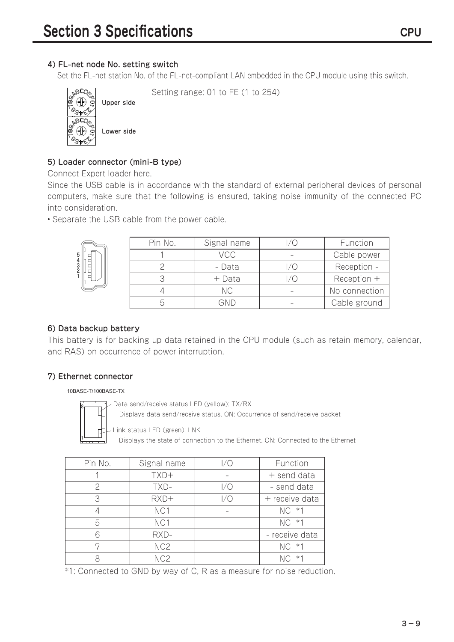#### 4) FL-net node No. setting switch

Upper side

Lower side

Set the FL-net station No. of the FL-net-compliant LAN embedded in the CPU module using this switch.



Setting range: 01 to FE (1 to 254)

5) Loader connector (mini-B type)

Connect Expert loader here.

Since the USB cable is in accordance with the standard of external peripheral devices of personal computers, make sure that the following is ensured, taking noise immunity of the connected PC into consideration.

• Separate the USB cable from the power cable.



| Pin No. | Signal name | Function      |
|---------|-------------|---------------|
|         | <b>VCC</b>  | Cable power   |
|         | - Data      | Reception -   |
|         | $+$ Data    | $Reception +$ |
|         | NC.         | No connection |
|         |             | Cable ground  |

#### 6) Data backup battery

This battery is for backing up data retained in the CPU module (such as retain memory, calendar, and RAS) on occurrence of power interruption.

#### 7) Ethernet connector

#### 10BASE-T/100BASE-TX

Data send/receive status LED (yellow): TX/RX



Displays data send/receive status. ON: Occurrence of send/receive packet

Link status LED (green): LNK

Displays the state of connection to the Ethernet. ON: Connected to the Ethernet

| Pin No. | Signal name     |     | Function       |
|---------|-----------------|-----|----------------|
|         | TXD+            |     | $+$ send data  |
| 2       | TXD-            | 1/0 | - send data    |
| 3       | RXD+            | 1/0 | + receive data |
|         | NC1             |     | NC *1          |
| 5       | NC1             |     | NC *1          |
| հ       | RXD-            |     | - receive data |
|         | NC <sub>2</sub> |     | NC *1          |
|         | NC <sub>2</sub> |     | $*1$           |

\*1: Connected to GND by way of C, R as a measure for noise reduction.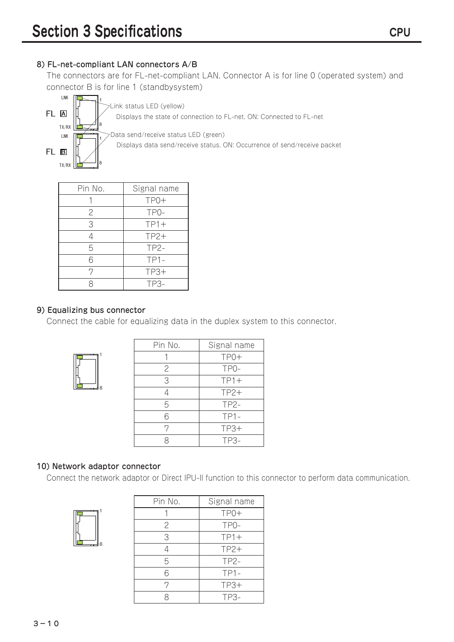#### 8) FL-net-compliant LAN connectors A/B

The connectors are for FL-net-compliant LAN. Connector A is for line 0 (operated system) and connector B is for line 1 (standbysystem)



| Pin No. | Signal name |
|---------|-------------|
|         | TP0+        |
| 2       | TP0-        |
| 3       | $TP1+$      |
|         | $TP2+$      |
| 5       | TP2-        |
| 6       | $TP1-$      |
| 7       | $TP3+$      |
|         | $TP3-$      |

#### 9) Equalizing bus connector

Connect the cable for equalizing data in the duplex system to this connector.



| Pin No. | Signal name       |
|---------|-------------------|
|         | $TPO+$            |
| 2       | TP <sub>0</sub> - |
| 3       | $TP1+$            |
|         | $TP2+$            |
| 5       | TP2-              |
| 6       | $TP1-$            |
| 7       | $TP3+$            |
|         | TP3-              |

#### 10) Network adaptor connector

Connect the network adaptor or Direct IPU-II function to this connector to perform data communication.

| 8 |
|---|

| Pin No.        | Signal name       |
|----------------|-------------------|
|                | $TPO+$            |
| $\overline{c}$ | TP <sub>0</sub> - |
| 3              | $TP1+$            |
|                | $TP2+$            |
| 5              | $TP2-$            |
| 6              | $TP1-$            |
| 7              | $TP3+$            |
|                | TP3-              |